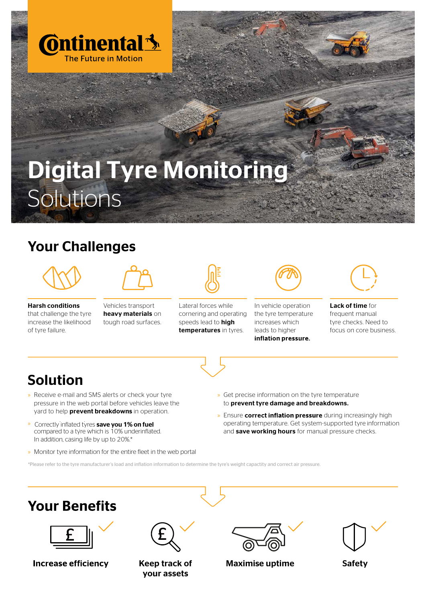

## Digital Tyre Monitoring Solutions

## Your Challenges



Harsh conditions that challenge the tyre increase the likelihood of tyre failure.

Vehicles transport heavy materials on tough road surfaces.



Lateral forces while cornering and operating speeds lead to high temperatures in tyres.



In vehicle operation the tyre temperature increases which leads to higher inflation pressure.



Lack of time for frequent manual tyre checks. Need to focus on core business.



## Solution

- » Receive e-mail and SMS alerts or check your tyre pressure in the web portal before vehicles leave the yard to help **prevent breakdowns** in operation.
- » Correctly inflated tyres save you 1% on fuel compared to a tyre which is 10% underinflated. In addition, casing life by up to 20%.\*
- » Monitor tyre information for the entire fleet in the web portal
- » Get precise information on the tyre temperature to prevent tyre damage and breakdowns.
- » Ensure correct inflation pressure during increasingly high operating temperature. Get system-supported tyre information and save working hours for manual pressure checks.

\*Please refer to the tyre manufacturer's load and inflation information to determine the tyre's weight capactity and correct air pressure.

## **Your Benefits**



**Increase efficiency** 



Keep track of your assets



Maximise uptime The Safety